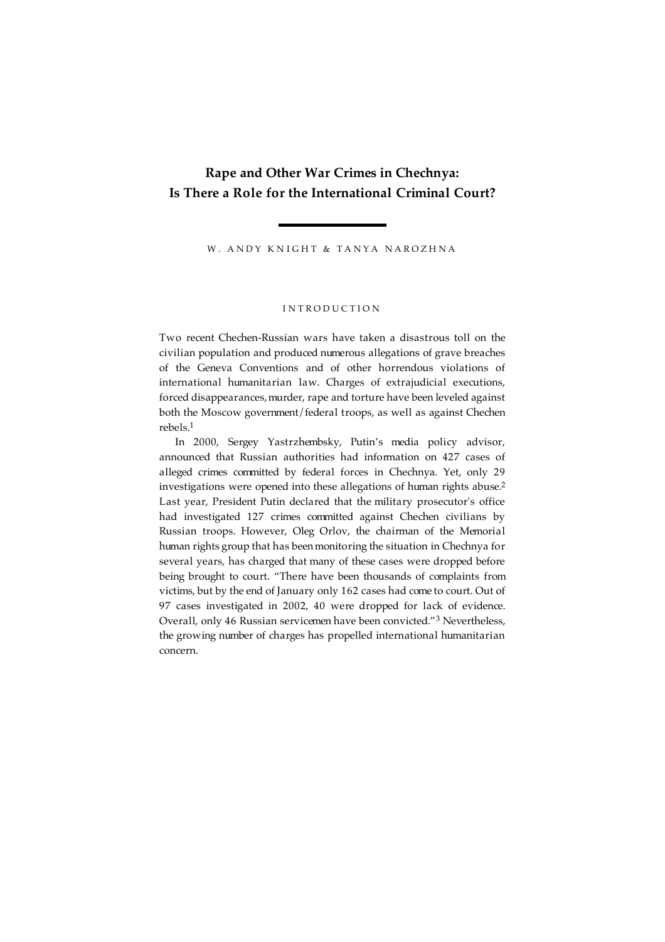# **Rape and Other War Crimes in Chechnya: Is There a Role for the International Criminal Court?**

W. ANDY KNIGHT & TANYA NAROZHNA

#### I N T R O D U C T I O N

Two recent Chechen-Russian wars have taken a disastrous toll on the civilian population and produced numerous allegations of grave breaches of the Geneva Conventions and of other horrendous violations of international humanitarian law. Charges of extrajudicial executions, forced disappearances, murder, rape and torture have been leveled against both the Moscow government/federal troops, as well as against Chechen rebels. 1

In 2000, Sergey Yastrzhembsky, Putin's media policy advisor, announced that Russian authorities had information on 427 cases of alleged crimes committed by federal forces in Chechnya. Yet, only 29 investigations were opened into these allegations of human rights abuse. 2 Last year, President Putin declared that the military prosecutor's office had investigated 127 crimes committed against Chechen civilians by Russian troops. However, Oleg Orlov, the chairman of the Memorial human rights group that has beenmonitoring the situation in Chechnya for several years, has charged that many of these cases were dropped before being brought to court. "There have been thousands of complaints from victims, but by the end of January only 162 cases had come to court. Out of 97 cases investigated in 2002, 40 were dropped for lack of evidence. Overall, only 46 Russian servicemen have been convicted."<sup>3</sup> Nevertheless, the growing number of charges has propelled international humanitarian concern.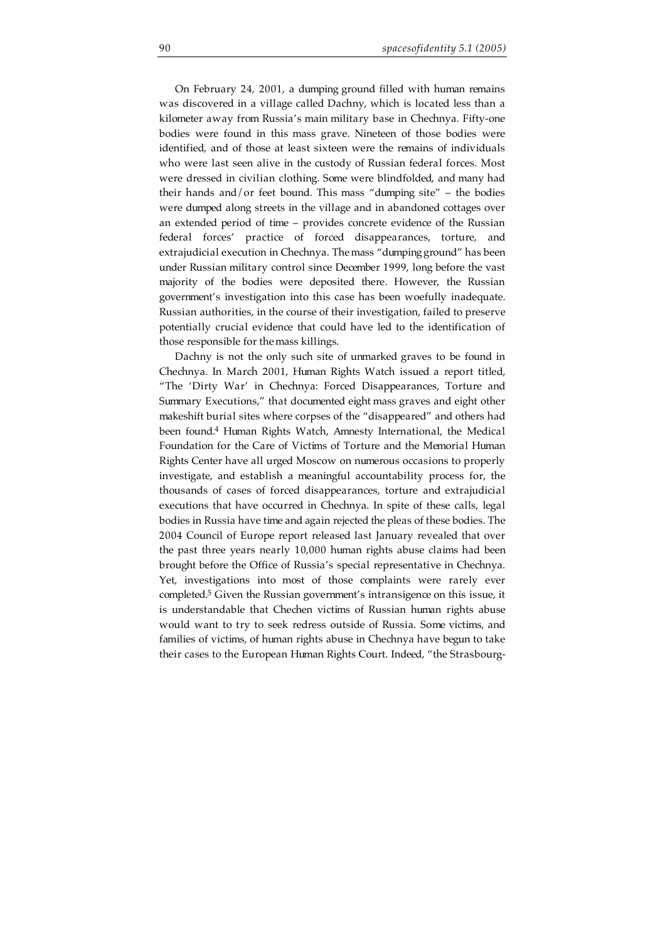On February 24, 2001, a dumping ground filled with human remains was discovered in a village called Dachny, which is located less than a kilometer away from Russia's main military base in Chechnya. Fifty-one bodies were found in this mass grave. Nineteen of those bodies were identified, and of those at least sixteen were the remains of individuals who were last seen alive in the custody of Russian federal forces. Most were dressed in civilian clothing. Some were blindfolded, and many had their hands and/or feet bound. This mass "dumping site" – the bodies were dumped along streets in the village and in abandoned cottages over an extended period of time – provides concrete evidence of the Russian federal forces' practice of forced disappearances, torture, and extrajudicial execution in Chechnya. Themass "dumpingground" has been under Russian military control since December 1999, long before the vast majority of the bodies were deposited there. However, the Russian government's investigation into this case has been woefully inadequate. Russian authorities, in the course of their investigation, failed to preserve potentially crucial evidence that could have led to the identification of those responsible for themass killings.

Dachny is not the only such site of unmarked graves to be found in Chechnya. In March 2001, Human Rights Watch issued a report titled, "The 'Dirty War' in Chechnya: Forced Disappearances, Torture and Summary Executions," that documented eight mass graves and eight other makeshift burial sites where corpses of the "disappeared" and others had been found. <sup>4</sup> Human Rights Watch, Amnesty International, the Medical Foundation for the Care of Victims of Torture and the Memorial Human Rights Center have all urged Moscow on numerous occasions to properly investigate, and establish a meaningful accountability process for, the thousands of cases of forced disappearances, torture and extrajudicial executions that have occurred in Chechnya. In spite of these calls, legal bodies in Russia have time and again rejected the pleas of these bodies. The 2004 Council of Europe report released last January revealed that over the past three years nearly 10,000 human rights abuse claims had been brought before the Office of Russia's special representative in Chechnya. Yet, investigations into most of those complaints were rarely ever completed. <sup>5</sup> Given the Russian government's intransigence on this issue, it is understandable that Chechen victims of Russian human rights abuse would want to try to seek redress outside of Russia. Some victims, and families of victims, of human rights abuse in Chechnya have begun to take their cases to the European Human Rights Court. Indeed, "the Strasbourg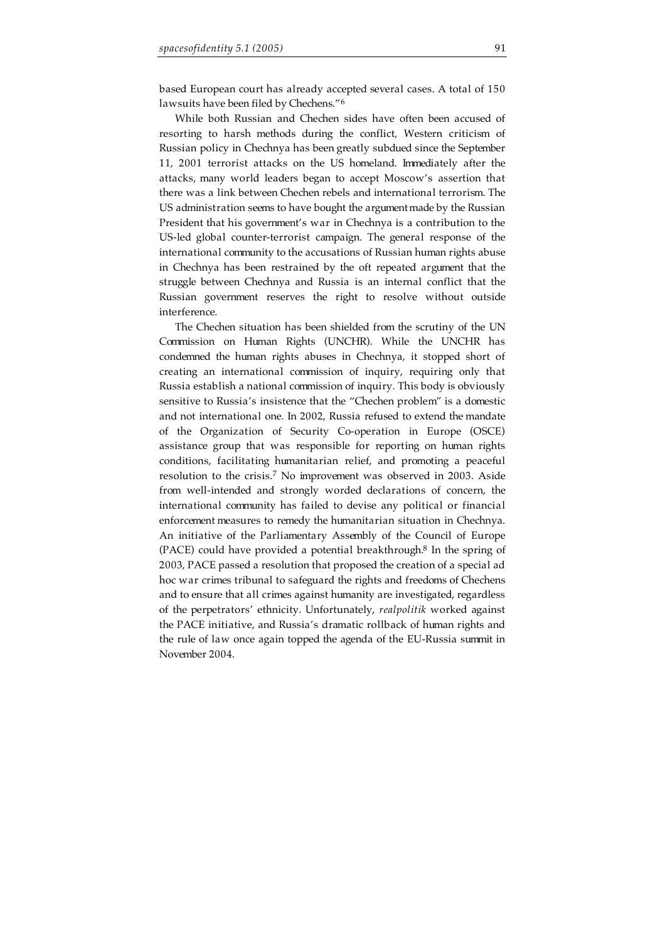based European court has already accepted several cases. A total of 150 lawsuits have been filed by Chechens."<sup>6</sup>

While both Russian and Chechen sides have often been accused of resorting to harsh methods during the conflict, Western criticism of Russian policy in Chechnya has been greatly subdued since the September 11, 2001 terrorist attacks on the US homeland. Immediately after the attacks, many world leaders began to accept Moscow's assertion that there was a link between Chechen rebels and international terrorism. The US administration seems to have bought the argumentmade by the Russian President that his government's war in Chechnya is a contribution to the US-led global counter-terrorist campaign. The general response of the international community to the accusations of Russian human rights abuse in Chechnya has been restrained by the oft repeated argument that the struggle between Chechnya and Russia is an internal conflict that the Russian government reserves the right to resolve without outside interference.

The Chechen situation has been shielded from the scrutiny of the UN Commission on Human Rights (UNCHR). While the UNCHR has condemned the human rights abuses in Chechnya, it stopped short of creating an international commission of inquiry, requiring only that Russia establish a national commission of inquiry. This body is obviously sensitive to Russia's insistence that the "Chechen problem" is a domestic and not international one. In 2002, Russia refused to extend the mandate of the Organization of Security Co-operation in Europe (OSCE) assistance group that was responsible for reporting on human rights conditions, facilitating humanitarian relief, and promoting a peaceful resolution to the crisis.<sup>7</sup> No improvement was observed in 2003. Aside from well-intended and strongly worded declarations of concern, the international community has failed to devise any political or financial enforcement measures to remedy the humanitarian situation in Chechnya. An initiative of the Parliamentary Assembly of the Council of Europe (PACE) could have provided a potential breakthrough. <sup>8</sup> In the spring of 2003, PACE passed a resolution that proposed the creation of a special ad hoc war crimes tribunal to safeguard the rights and freedoms of Chechens and to ensure that all crimes against humanity are investigated, regardless of the perpetrators' ethnicity. Unfortunately, *realpolitik* worked against the PACE initiative, and Russia's dramatic rollback of human rights and the rule of law once again topped the agenda of the EU-Russia summit in November 2004.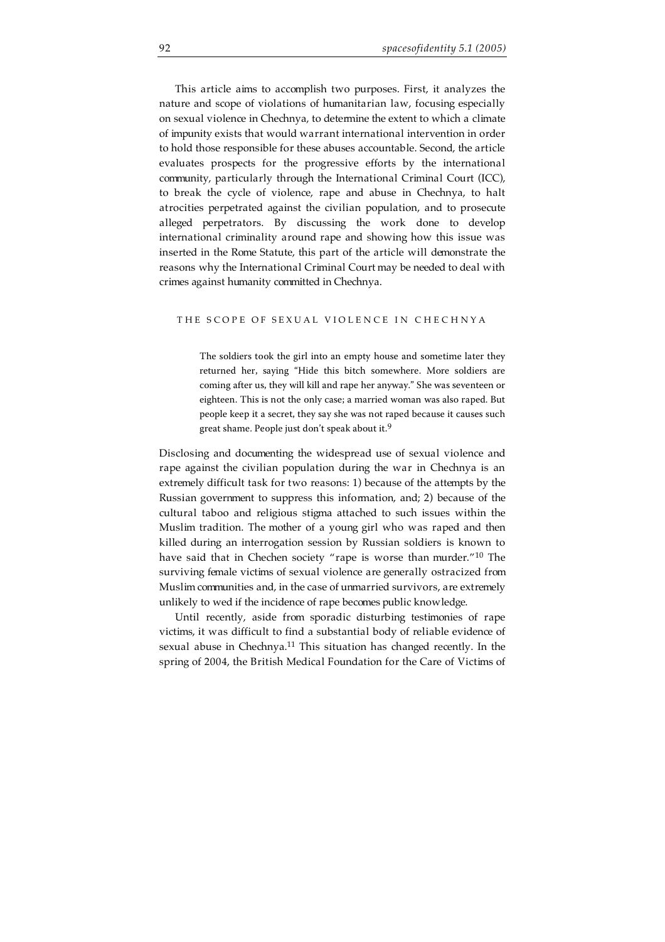This article aims to accomplish two purposes. First, it analyzes the nature and scope of violations of humanitarian law, focusing especially on sexual violence in Chechnya, to determine the extent to which a climate of impunity exists that would warrant international intervention in order to hold those responsible for these abuses accountable. Second, the article evaluates prospects for the progressive efforts by the international community, particularly through the International Criminal Court (ICC), to break the cycle of violence, rape and abuse in Chechnya, to halt atrocities perpetrated against the civilian population, and to prosecute alleged perpetrators. By discussing the work done to develop international criminality around rape and showing how this issue was inserted in the Rome Statute, this part of the article will demonstrate the reasons why the International Criminal Court may be needed to deal with crimes against humanity committed in Chechnya.

### THE SCOPE OF SEXUAL VIOLENCE IN CHECHNYA

The soldiers took the girl into an empty house and sometime later they returned her, saying "Hide this bitch somewhere. More soldiers are coming after us, they will kill and rape her anyway." She was seventeen or eighteen. This is not the only case; a married woman was also raped. But people keep it a secret, they say she was not raped because it causes such great shame. People just don't speak about it. 9

Disclosing and documenting the widespread use of sexual violence and rape against the civilian population during the war in Chechnya is an extremely difficult task for two reasons: 1) because of the attempts by the Russian government to suppress this information, and; 2) because of the cultural taboo and religious stigma attached to such issues within the Muslim tradition. The mother of a young girl who was raped and then killed during an interrogation session by Russian soldiers is known to have said that in Chechen society "rape is worse than murder."<sup>10</sup> The surviving female victims of sexual violence are generally ostracized from Muslim communities and, in the case of unmarried survivors, are extremely unlikely to wed if the incidence of rape becomes public knowledge.

Until recently, aside from sporadic disturbing testimonies of rape victims, it was difficult to find a substantial body of reliable evidence of sexual abuse in Chechnya.<sup>11</sup> This situation has changed recently. In the spring of 2004, the British Medical Foundation for the Care of Victims of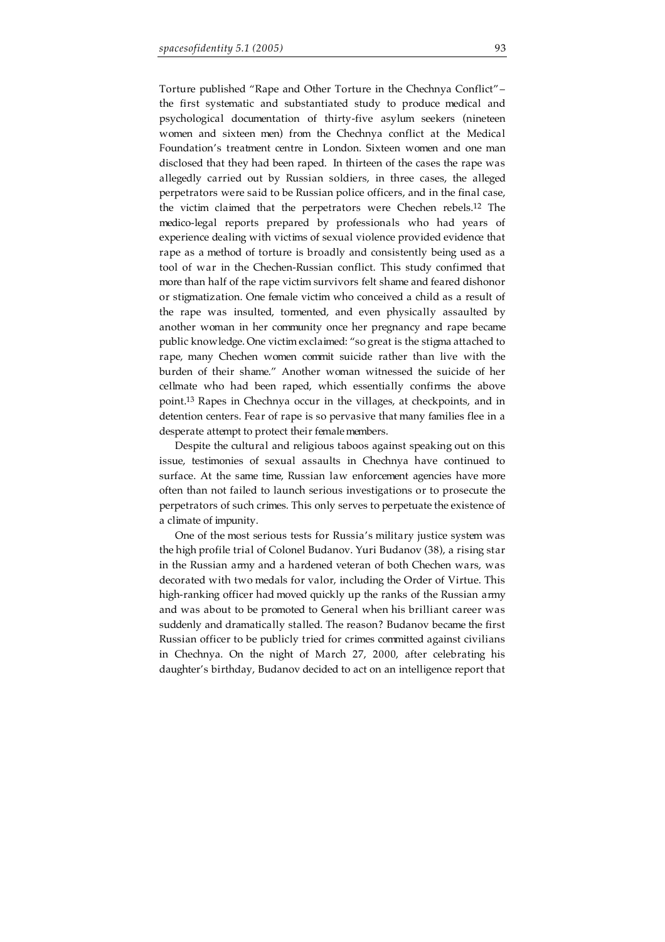Torture published "Rape and Other Torture in the Chechnya Conflict"– the first systematic and substantiated study to produce medical and psychological documentation of thirty-five asylum seekers (nineteen women and sixteen men) from the Chechnya conflict at the Medical Foundation's treatment centre in London. Sixteen women and one man disclosed that they had been raped. In thirteen of the cases the rape was allegedly carried out by Russian soldiers, in three cases, the alleged perpetrators were said to be Russian police officers, and in the final case, the victim claimed that the perpetrators were Chechen rebels. <sup>12</sup> The medico-legal reports prepared by professionals who had years of experience dealing with victims of sexual violence provided evidence that rape as a method of torture is broadly and consistently being used as a tool of war in the Chechen-Russian conflict. This study confirmed that more than half of the rape victim survivors felt shame and feared dishonor or stigmatization. One female victim who conceived a child as a result of the rape was insulted, tormented, and even physically assaulted by another woman in her community once her pregnancy and rape became public knowledge. One victim exclaimed: "so great is the stigma attached to rape, many Chechen women commit suicide rather than live with the burden of their shame." Another woman witnessed the suicide of her cellmate who had been raped, which essentially confirms the above point. <sup>13</sup> Rapes in Chechnya occur in the villages, at checkpoints, and in detention centers. Fear of rape is so pervasive that many families flee in a desperate attempt to protect their femalemembers.

Despite the cultural and religious taboos against speaking out on this issue, testimonies of sexual assaults in Chechnya have continued to surface. At the same time, Russian law enforcement agencies have more often than not failed to launch serious investigations or to prosecute the perpetrators of such crimes. This only serves to perpetuate the existence of a climate of impunity.

One of the most serious tests for Russia's military justice system was the high profile trial of Colonel Budanov. Yuri Budanov (38), a rising star in the Russian army and a hardened veteran of both Chechen wars, was decorated with two medals for valor, including the Order of Virtue. This high-ranking officer had moved quickly up the ranks of the Russian army and was about to be promoted to General when his brilliant career was suddenly and dramatically stalled. The reason? Budanov became the first Russian officer to be publicly tried for crimes committed against civilians in Chechnya. On the night of March 27, 2000, after celebrating his daughter's birthday, Budanov decided to act on an intelligence report that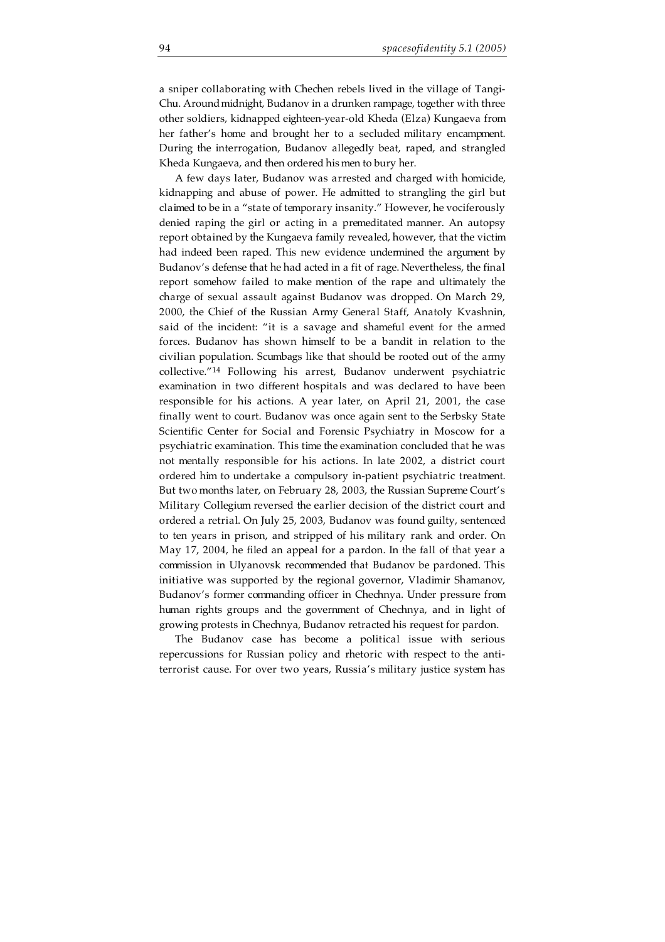a sniper collaborating with Chechen rebels lived in the village of Tangi-Chu. Around midnight, Budanov in a drunken rampage, together with three other soldiers, kidnapped eighteen-year-old Kheda (Elza) Kungaeva from her father's home and brought her to a secluded military encampment. During the interrogation, Budanov allegedly beat, raped, and strangled Kheda Kungaeva, and then ordered his men to bury her.

A few days later, Budanov was arrested and charged with homicide, kidnapping and abuse of power. He admitted to strangling the girl but claimed to be in a "state of temporary insanity." However, he vociferously denied raping the girl or acting in a premeditated manner. An autopsy report obtained by the Kungaeva family revealed, however, that the victim had indeed been raped. This new evidence undermined the argument by Budanov's defense that he had acted in a fit of rage. Nevertheless, the final report somehow failed to make mention of the rape and ultimately the charge of sexual assault against Budanov was dropped. On March 29, 2000, the Chief of the Russian Army General Staff, Anatoly Kvashnin, said of the incident: "it is a savage and shameful event for the armed forces. Budanov has shown himself to be a bandit in relation to the civilian population. Scumbags like that should be rooted out of the army collective."<sup>14</sup> Following his arrest, Budanov underwent psychiatric examination in two different hospitals and was declared to have been responsible for his actions. A year later, on April 21, 2001, the case finally went to court. Budanov was once again sent to the Serbsky State Scientific Center for Social and Forensic Psychiatry in Moscow for a psychiatric examination. This time the examination concluded that he was not mentally responsible for his actions. In late 2002, a district court ordered him to undertake a compulsory in-patient psychiatric treatment. But two months later, on February 28, 2003, the Russian Supreme Court's Military Collegium reversed the earlier decision of the district court and ordered a retrial. On July 25, 2003, Budanov was found guilty, sentenced to ten years in prison, and stripped of his military rank and order. On May 17, 2004, he filed an appeal for a pardon. In the fall of that year a commission in Ulyanovsk recommended that Budanov be pardoned. This initiative was supported by the regional governor, Vladimir Shamanov, Budanov's former commanding officer in Chechnya. Under pressure from human rights groups and the government of Chechnya, and in light of growing protests in Chechnya, Budanov retracted his request for pardon.

The Budanov case has become a political issue with serious repercussions for Russian policy and rhetoric with respect to the antiterrorist cause. For over two years, Russia's military justice system has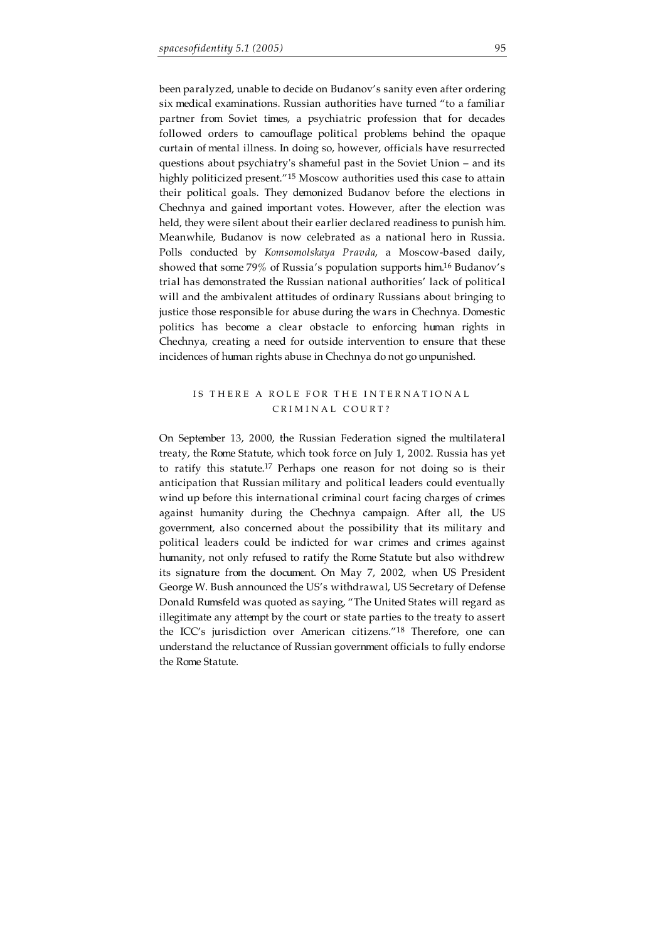been paralyzed, unable to decide on Budanov's sanity even after ordering six medical examinations. Russian authorities have turned "to a familiar partner from Soviet times, a psychiatric profession that for decades followed orders to camouflage political problems behind the opaque curtain of mental illness. In doing so, however, officials have resurrected questions about psychiatry's shameful past in the Soviet Union – and its highly politicized present."<sup>15</sup> Moscow authorities used this case to attain their political goals. They demonized Budanov before the elections in Chechnya and gained important votes. However, after the election was held, they were silent about their earlier declared readiness to punish him. Meanwhile, Budanov is now celebrated as a national hero in Russia. Polls conducted by *Komsomolskaya Pravda*, a Moscow-based daily, showed that some 79% of Russia's population supports him. <sup>16</sup> Budanov's trial has demonstrated the Russian national authorities' lack of political will and the ambivalent attitudes of ordinary Russians about bringing to justice those responsible for abuse during the wars in Chechnya. Domestic politics has become a clear obstacle to enforcing human rights in Chechnya, creating a need for outside intervention to ensure that these incidences of human rights abuse in Chechnya do not go unpunished.

## IS THERE A ROLE FOR THE INTERNATIONAL CRIMINAL COURT?

On September 13, 2000, the Russian Federation signed the multilateral treaty, the Rome Statute, which took force on July 1, 2002. Russia has yet to ratify this statute. <sup>17</sup> Perhaps one reason for not doing so is their anticipation that Russian military and political leaders could eventually wind up before this international criminal court facing charges of crimes against humanity during the Chechnya campaign. After all, the US government, also concerned about the possibility that its military and political leaders could be indicted for war crimes and crimes against humanity, not only refused to ratify the Rome Statute but also withdrew its signature from the document. On May 7, 2002, when US President George W. Bush announced the US's withdrawal, US Secretary of Defense Donald Rumsfeld was quoted as saying, "The United States will regard as illegitimate any attempt by the court or state parties to the treaty to assert the ICC's jurisdiction over American citizens."<sup>18</sup> Therefore, one can understand the reluctance of Russian government officials to fully endorse the Rome Statute.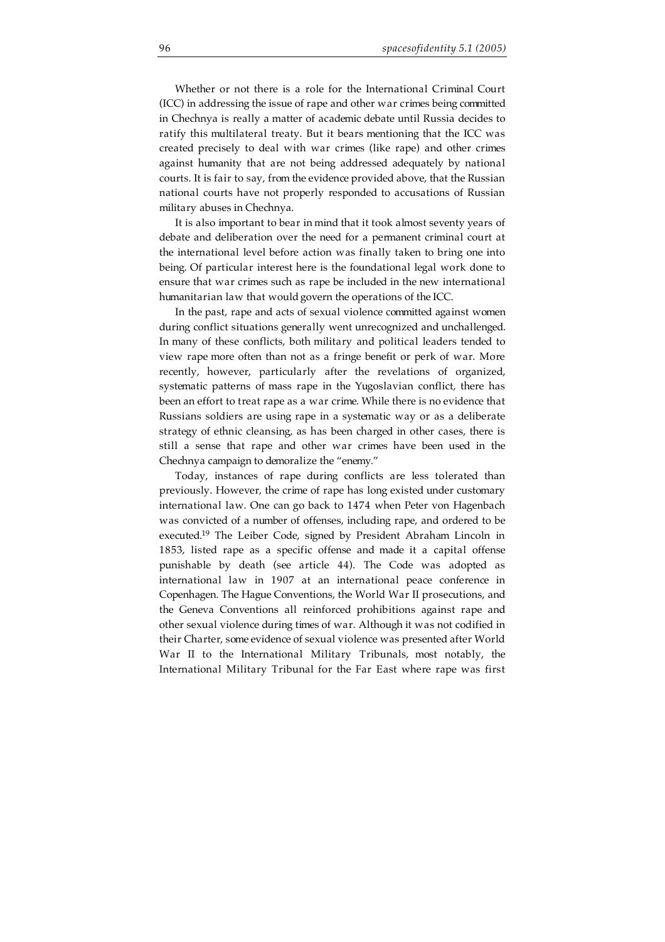Whether or not there is a role for the International Criminal Court (ICC) in addressing the issue of rape and other war crimes being committed in Chechnya is really a matter of academic debate until Russia decides to ratify this multilateral treaty. But it bears mentioning that the ICC was created precisely to deal with war crimes (like rape) and other crimes against humanity that are not being addressed adequately by national courts. It is fair to say, from the evidence provided above, that the Russian national courts have not properly responded to accusations of Russian military abuses in Chechnya.

It is also important to bear in mind that it took almost seventy years of debate and deliberation over the need for a permanent criminal court at the international level before action was finally taken to bring one into being. Of particular interest here is the foundational legal work done to ensure that war crimes such as rape be included in the new international humanitarian law that would govern the operations of the ICC.

In the past, rape and acts of sexual violence committed against women during conflict situations generally went unrecognized and unchallenged. In many of these conflicts, both military and political leaders tended to view rape more often than not as a fringe benefit or perk of war. More recently, however, particularly after the revelations of organized, systematic patterns of mass rape in the Yugoslavian conflict, there has been an effort to treat rape as a war crime. While there is no evidence that Russians soldiers are using rape in a systematic way or as a deliberate strategy of ethnic cleansing, as has been charged in other cases, there is still a sense that rape and other war crimes have been used in the Chechnya campaign to demoralize the "enemy."

Today, instances of rape during conflicts are less tolerated than previously. However, the crime of rape has long existed under customary international law. One can go back to 1474 when Peter von Hagenbach was convicted of a number of offenses, including rape, and ordered to be executed. <sup>19</sup> The Leiber Code, signed by President Abraham Lincoln in 1853, listed rape as a specific offense and made it a capital offense punishable by death (see article 44). The Code was adopted as international law in 1907 at an international peace conference in Copenhagen. The Hague Conventions, the World War II prosecutions, and the Geneva Conventions all reinforced prohibitions against rape and other sexual violence during times of war. Although it was not codified in their Charter, some evidence of sexual violence was presented after World War II to the International Military Tribunals, most notably, the International Military Tribunal for the Far East where rape was first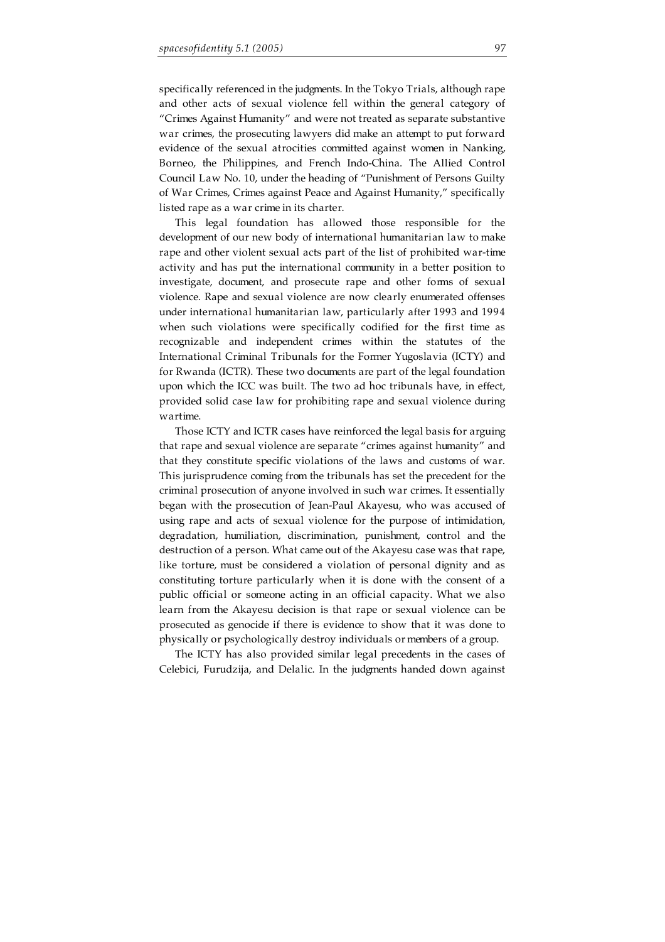specifically referenced in the judgments. In the Tokyo Trials, although rape and other acts of sexual violence fell within the general category of "Crimes Against Humanity" and were not treated as separate substantive war crimes, the prosecuting lawyers did make an attempt to put forward evidence of the sexual atrocities committed against women in Nanking, Borneo, the Philippines, and French Indo-China. The Allied Control Council Law No. 10, under the heading of "Punishment of Persons Guilty of War Crimes, Crimes against Peace and Against Humanity," specifically listed rape as a war crime in its charter.

This legal foundation has allowed those responsible for the development of our new body of international humanitarian law to make rape and other violent sexual acts part of the list of prohibited war-time activity and has put the international community in a better position to investigate, document, and prosecute rape and other forms of sexual violence. Rape and sexual violence are now clearly enumerated offenses under international humanitarian law, particularly after 1993 and 1994 when such violations were specifically codified for the first time as recognizable and independent crimes within the statutes of the International Criminal Tribunals for the Former Yugoslavia (ICTY) and for Rwanda (ICTR). These two documents are part of the legal foundation upon which the ICC was built. The two ad hoc tribunals have, in effect, provided solid case law for prohibiting rape and sexual violence during wartime.

Those ICTY and ICTR cases have reinforced the legal basis for arguing that rape and sexual violence are separate "crimes against humanity" and that they constitute specific violations of the laws and customs of war. This jurisprudence coming from the tribunals has set the precedent for the criminal prosecution of anyone involved in such war crimes. It essentially began with the prosecution of Jean-Paul Akayesu, who was accused of using rape and acts of sexual violence for the purpose of intimidation, degradation, humiliation, discrimination, punishment, control and the destruction of a person. What came out of the Akayesu case was that rape, like torture, must be considered a violation of personal dignity and as constituting torture particularly when it is done with the consent of a public official or someone acting in an official capacity. What we also learn from the Akayesu decision is that rape or sexual violence can be prosecuted as genocide if there is evidence to show that it was done to physically or psychologically destroy individuals or members of a group.

The ICTY has also provided similar legal precedents in the cases of Celebici, Furudzija, and Delalic. In the judgments handed down against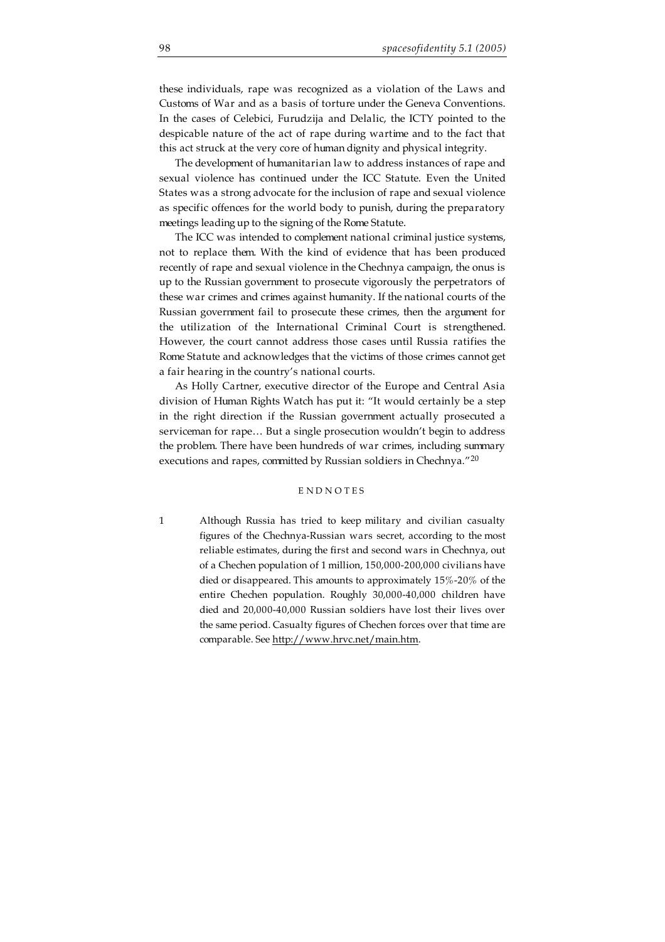these individuals, rape was recognized as a violation of the Laws and Customs of War and as a basis of torture under the Geneva Conventions. In the cases of Celebici, Furudzija and Delalic, the ICTY pointed to the despicable nature of the act of rape during wartime and to the fact that this act struck at the very core of human dignity and physical integrity.

The development of humanitarian law to address instances of rape and sexual violence has continued under the ICC Statute. Even the United States was a strong advocate for the inclusion of rape and sexual violence as specific offences for the world body to punish, during the preparatory meetings leading up to the signing of the Rome Statute.

The ICC was intended to complement national criminal justice systems, not to replace them. With the kind of evidence that has been produced recently of rape and sexual violence in the Chechnya campaign, the onus is up to the Russian government to prosecute vigorously the perpetrators of these war crimes and crimes against humanity. If the national courts of the Russian government fail to prosecute these crimes, then the argument for the utilization of the International Criminal Court is strengthened. However, the court cannot address those cases until Russia ratifies the Rome Statute and acknowledges that the victims of those crimes cannot get a fair hearing in the country's national courts.

As Holly Cartner, executive director of the Europe and Central Asia division of Human Rights Watch has put it: "It would certainly be a step in the right direction if the Russian government actually prosecuted a serviceman for rape… But a single prosecution wouldn't begin to address the problem. There have been hundreds of war crimes, including summary executions and rapes, committed by Russian soldiers in Chechnya."<sup>20</sup>

### **ENDNOTES**

1 Although Russia has tried to keep military and civilian casualty figures of the Chechnya-Russian wars secret, according to the most reliable estimates, during the first and second wars in Chechnya, out of a Chechen population of 1 million, 150,000-200,000 civilians have died or disappeared. This amounts to approximately 15%-20% of the entire Chechen population. Roughly 30,000-40,000 children have died and 20,000-40,000 Russian soldiers have lost their lives over the same period. Casualty figures of Chechen forces over that time are comparable. See http://www.hrvc.net/main.htm.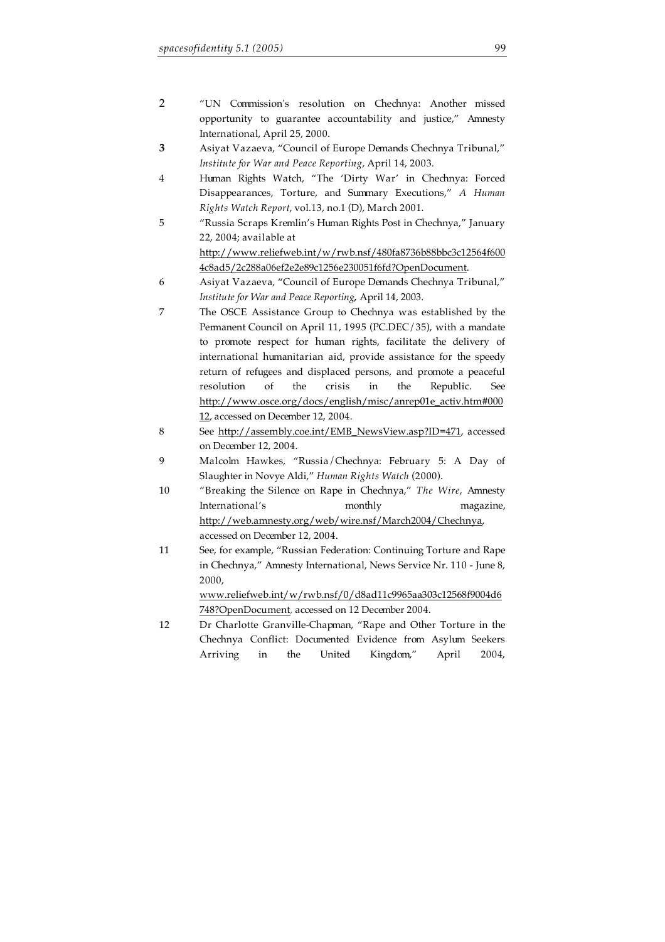- 2 "UN Commission's resolution on Chechnya: Another missed opportunity to guarantee accountability and justice," Amnesty International, April 25, 2000.
- **3** Asiyat Vazaeva, "Council of Europe Demands Chechnya Tribunal," *Institute for War and Peace Reporting*, April 14, 2003.
- 4 Human Rights Watch, "The 'Dirty War' in Chechnya: Forced Disappearances, Torture, and Summary Executions," *A Human Rights Watch Report*, vol.13, no.1 (D), March 2001.
- 5 "Russia Scraps Kremlin's Human Rights Post in Chechnya," January 22, 2004; available at http://www.reliefweb.int/w/rwb.nsf/480fa8736b88bbc3c12564f600 4c8ad5/2c288a06ef2e2e89c1256e230051f6fd?OpenDocument.
- 6 Asiyat Vazaeva, "Council of Europe Demands Chechnya Tribunal," *Institute for War and Peace Reporting,* April 14, 2003.
- 7 The OSCE Assistance Group to Chechnya was established by the Permanent Council on April 11, 1995 (PC.DEC/35), with a mandate to promote respect for human rights, facilitate the delivery of international humanitarian aid, provide assistance for the speedy return of refugees and displaced persons, and promote a peaceful resolution of the crisis in the Republic. See http://www.osce.org/docs/english/misc/anrep01e\_activ.htm#000 12, accessed on December 12, 2004.
- 8 See http://assembly.coe.int/EMB\_NewsView.asp?ID=471, accessed on December 12, 2004.
- 9 Malcolm Hawkes, "Russia/Chechnya: February 5: A Day of Slaughter in Novye Aldi," *Human Rights Watch* (2000).
- 10 "Breaking the Silence on Rape in Chechnya," *The Wire*, Amnesty International's monthly magazine, http://web.amnesty.org/web/wire.nsf/March2004/Chechnya, accessed on December 12, 2004.
- 11 See, for example, "Russian Federation: Continuing Torture and Rape in Chechnya," Amnesty International, News Service Nr. 110 - June 8, 2000,

www.reliefweb.int/w/rwb.nsf/0/d8ad11c9965aa303c12568f9004d6 748?OpenDocument, accessed on 12 December 2004.

12 Dr Charlotte Granville-Chapman, "Rape and Other Torture in the Chechnya Conflict: Documented Evidence from Asylum Seekers Arriving in the United Kingdom," April 2004,